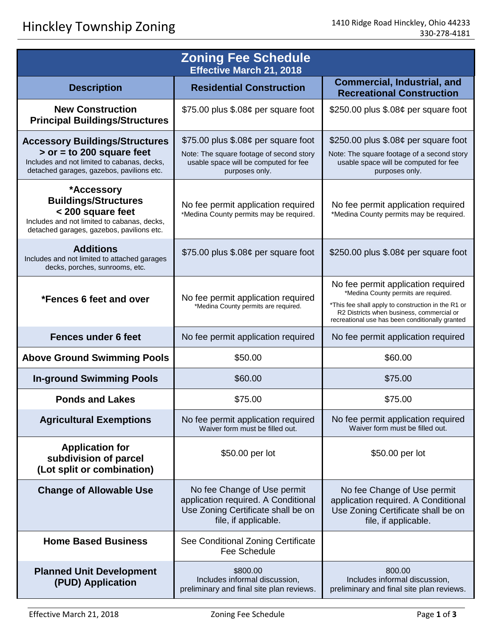| <b>Zoning Fee Schedule</b><br><b>Effective March 21, 2018</b>                                                                                                    |                                                                                                                                             |                                                                                                                                                                                                                                  |
|------------------------------------------------------------------------------------------------------------------------------------------------------------------|---------------------------------------------------------------------------------------------------------------------------------------------|----------------------------------------------------------------------------------------------------------------------------------------------------------------------------------------------------------------------------------|
| <b>Description</b>                                                                                                                                               | <b>Residential Construction</b>                                                                                                             | <b>Commercial, Industrial, and</b><br><b>Recreational Construction</b>                                                                                                                                                           |
| <b>New Construction</b><br><b>Principal Buildings/Structures</b>                                                                                                 | \$75.00 plus \$.08¢ per square foot                                                                                                         | \$250.00 plus $$.08¢$ per square foot                                                                                                                                                                                            |
| <b>Accessory Buildings/Structures</b><br>$>$ or = to 200 square feet<br>Includes and not limited to cabanas, decks,<br>detached garages, gazebos, pavilions etc. | \$75.00 plus $$.08¢$ per square foot<br>Note: The square footage of second story<br>usable space will be computed for fee<br>purposes only. | \$250.00 plus $$.08¢$ per square foot<br>Note: The square footage of a second story<br>usable space will be computed for fee<br>purposes only.                                                                                   |
| *Accessory<br><b>Buildings/Structures</b><br>< 200 square feet<br>Includes and not limited to cabanas, decks,<br>detached garages, gazebos, pavilions etc.       | No fee permit application required<br>*Medina County permits may be required.                                                               | No fee permit application required<br>*Medina County permits may be required.                                                                                                                                                    |
| <b>Additions</b><br>Includes and not limited to attached garages<br>decks, porches, sunrooms, etc.                                                               | \$75.00 plus $$.08¢$ per square foot                                                                                                        | \$250.00 plus $$.08¢$ per square foot                                                                                                                                                                                            |
| *Fences 6 feet and over                                                                                                                                          | No fee permit application required<br>*Medina County permits are required.                                                                  | No fee permit application required<br>*Medina County permits are required.<br>*This fee shall apply to construction in the R1 or<br>R2 Districts when business, commercial or<br>recreational use has been conditionally granted |
| <b>Fences under 6 feet</b>                                                                                                                                       | No fee permit application required                                                                                                          | No fee permit application required                                                                                                                                                                                               |
| <b>Above Ground Swimming Pools</b>                                                                                                                               | \$50.00                                                                                                                                     | \$60.00                                                                                                                                                                                                                          |
| <b>In-ground Swimming Pools</b>                                                                                                                                  | \$60.00                                                                                                                                     | \$75.00                                                                                                                                                                                                                          |
| <b>Ponds and Lakes</b>                                                                                                                                           | \$75.00                                                                                                                                     | \$75.00                                                                                                                                                                                                                          |
| <b>Agricultural Exemptions</b>                                                                                                                                   | No fee permit application required<br>Waiver form must be filled out.                                                                       | No fee permit application required<br>Waiver form must be filled out.                                                                                                                                                            |
| <b>Application for</b><br>subdivision of parcel<br>(Lot split or combination)                                                                                    | \$50.00 per lot                                                                                                                             | \$50.00 per lot                                                                                                                                                                                                                  |
| <b>Change of Allowable Use</b>                                                                                                                                   | No fee Change of Use permit<br>application required. A Conditional<br>Use Zoning Certificate shall be on<br>file, if applicable.            | No fee Change of Use permit<br>application required. A Conditional<br>Use Zoning Certificate shall be on<br>file, if applicable.                                                                                                 |
| <b>Home Based Business</b>                                                                                                                                       | See Conditional Zoning Certificate<br><b>Fee Schedule</b>                                                                                   |                                                                                                                                                                                                                                  |
| <b>Planned Unit Development</b><br>(PUD) Application                                                                                                             | \$800.00<br>Includes informal discussion,<br>preliminary and final site plan reviews.                                                       | 800.00<br>Includes informal discussion,<br>preliminary and final site plan reviews.                                                                                                                                              |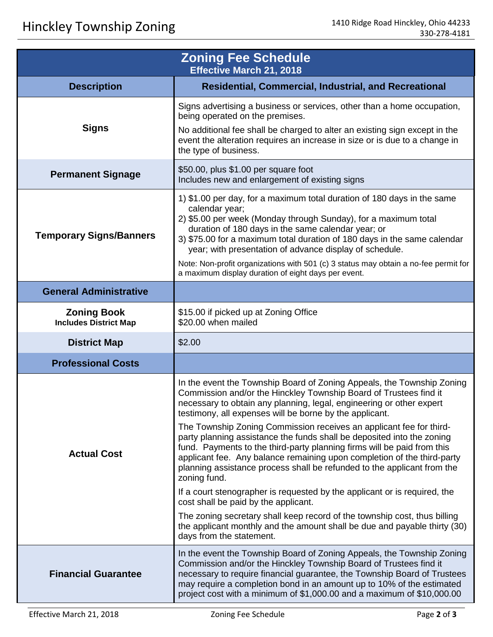| <b>Zoning Fee Schedule</b><br><b>Effective March 21, 2018</b> |                                                                                                                                                                                                                                                                                                                                                                                                                                                                                                                                                                                                                                                                                                                                                                                                                                                                                                                                                                                             |  |
|---------------------------------------------------------------|---------------------------------------------------------------------------------------------------------------------------------------------------------------------------------------------------------------------------------------------------------------------------------------------------------------------------------------------------------------------------------------------------------------------------------------------------------------------------------------------------------------------------------------------------------------------------------------------------------------------------------------------------------------------------------------------------------------------------------------------------------------------------------------------------------------------------------------------------------------------------------------------------------------------------------------------------------------------------------------------|--|
| <b>Description</b>                                            | <b>Residential, Commercial, Industrial, and Recreational</b>                                                                                                                                                                                                                                                                                                                                                                                                                                                                                                                                                                                                                                                                                                                                                                                                                                                                                                                                |  |
| <b>Signs</b>                                                  | Signs advertising a business or services, other than a home occupation,<br>being operated on the premises.<br>No additional fee shall be charged to alter an existing sign except in the<br>event the alteration requires an increase in size or is due to a change in<br>the type of business.                                                                                                                                                                                                                                                                                                                                                                                                                                                                                                                                                                                                                                                                                             |  |
| <b>Permanent Signage</b>                                      | \$50.00, plus \$1.00 per square foot<br>Includes new and enlargement of existing signs                                                                                                                                                                                                                                                                                                                                                                                                                                                                                                                                                                                                                                                                                                                                                                                                                                                                                                      |  |
| <b>Temporary Signs/Banners</b>                                | 1) \$1.00 per day, for a maximum total duration of 180 days in the same<br>calendar year;<br>2) \$5.00 per week (Monday through Sunday), for a maximum total<br>duration of 180 days in the same calendar year; or<br>3) \$75.00 for a maximum total duration of 180 days in the same calendar<br>year; with presentation of advance display of schedule.<br>Note: Non-profit organizations with 501 (c) 3 status may obtain a no-fee permit for<br>a maximum display duration of eight days per event.                                                                                                                                                                                                                                                                                                                                                                                                                                                                                     |  |
| <b>General Administrative</b>                                 |                                                                                                                                                                                                                                                                                                                                                                                                                                                                                                                                                                                                                                                                                                                                                                                                                                                                                                                                                                                             |  |
| <b>Zoning Book</b><br><b>Includes District Map</b>            | \$15.00 if picked up at Zoning Office<br>\$20.00 when mailed                                                                                                                                                                                                                                                                                                                                                                                                                                                                                                                                                                                                                                                                                                                                                                                                                                                                                                                                |  |
| <b>District Map</b>                                           | \$2.00                                                                                                                                                                                                                                                                                                                                                                                                                                                                                                                                                                                                                                                                                                                                                                                                                                                                                                                                                                                      |  |
| <b>Professional Costs</b>                                     |                                                                                                                                                                                                                                                                                                                                                                                                                                                                                                                                                                                                                                                                                                                                                                                                                                                                                                                                                                                             |  |
| <b>Actual Cost</b>                                            | In the event the Township Board of Zoning Appeals, the Township Zoning<br>Commission and/or the Hinckley Township Board of Trustees find it<br>necessary to obtain any planning, legal, engineering or other expert<br>testimony, all expenses will be borne by the applicant.<br>The Township Zoning Commission receives an applicant fee for third-<br>party planning assistance the funds shall be deposited into the zoning<br>fund. Payments to the third-party planning firms will be paid from this<br>applicant fee. Any balance remaining upon completion of the third-party<br>planning assistance process shall be refunded to the applicant from the<br>zoning fund.<br>If a court stenographer is requested by the applicant or is required, the<br>cost shall be paid by the applicant.<br>The zoning secretary shall keep record of the township cost, thus billing<br>the applicant monthly and the amount shall be due and payable thirty (30)<br>days from the statement. |  |
| <b>Financial Guarantee</b>                                    | In the event the Township Board of Zoning Appeals, the Township Zoning<br>Commission and/or the Hinckley Township Board of Trustees find it<br>necessary to require financial guarantee, the Township Board of Trustees<br>may require a completion bond in an amount up to 10% of the estimated<br>project cost with a minimum of \$1,000.00 and a maximum of \$10,000.00                                                                                                                                                                                                                                                                                                                                                                                                                                                                                                                                                                                                                  |  |